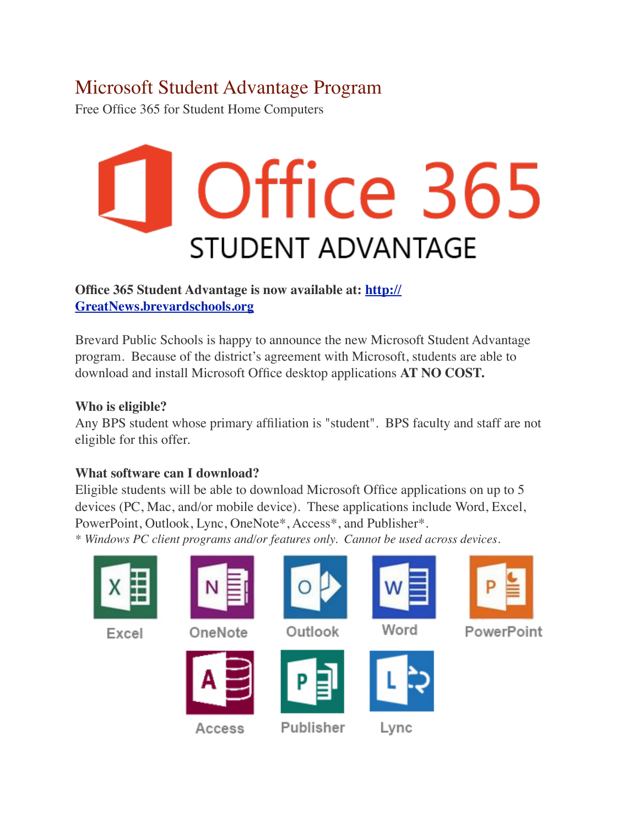## Microsoft Student Advantage Program

Free Office 365 for Student Home Computers

# Office 365 **STUDENT ADVANTAGE**

#### **Office 365 Student Advantage is now available at: [http://](http://GreatNews.brevardschools.org/) [GreatNews.brevardschools.org](http://GreatNews.brevardschools.org/)**

Brevard Public Schools is happy to announce the new Microsoft Student Advantage program. Because of the district's agreement with Microsoft, students are able to download and install Microsoft Office desktop applications **AT NO COST.**

### **Who is eligible?**

Any BPS student whose primary affiliation is "student". BPS faculty and staff are not eligible for this offer.

#### **What software can I download?**

Eligible students will be able to download Microsoft Office applications on up to 5 devices (PC, Mac, and/or mobile device). These applications include Word, Excel, PowerPoint, Outlook, Lync, OneNote\*, Access\*, and Publisher\*. *\* Windows PC client programs and/or features only. Cannot be used across devices.*

| Excel | OneNote | Outlook        | Word | PowerPoint |
|-------|---------|----------------|------|------------|
|       | Access  | D<br>Publisher | Lync |            |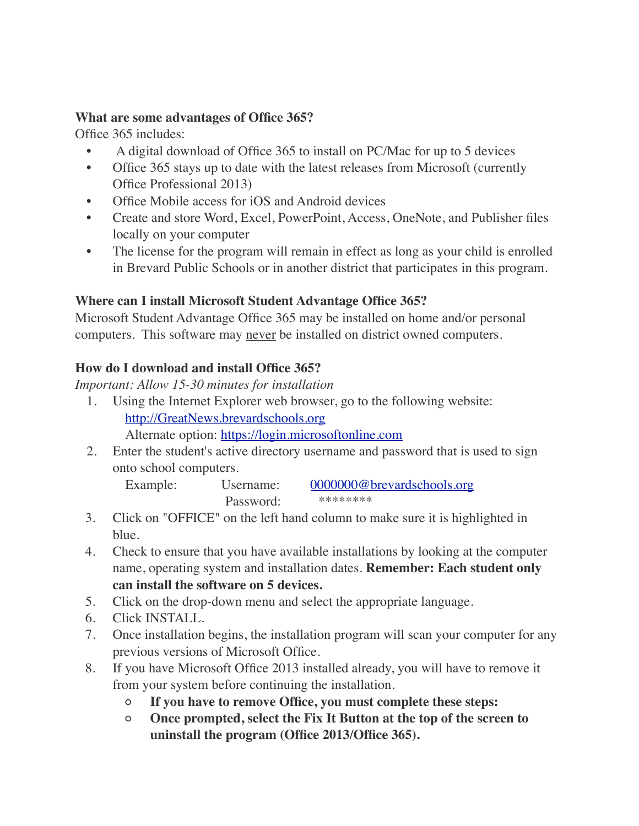#### **What are some advantages of Office 365?**

Office 365 includes:

- A digital download of Office 365 to install on PC/Mac for up to 5 devices
- Office 365 stays up to date with the latest releases from Microsoft (currently Office Professional 2013)
- Office Mobile access for iOS and Android devices
- Create and store Word, Excel, PowerPoint, Access, OneNote, and Publisher files locally on your computer
- The license for the program will remain in effect as long as your child is enrolled in Brevard Public Schools or in another district that participates in this program.

#### **Where can I install Microsoft Student Advantage Office 365?**

Microsoft Student Advantage Office 365 may be installed on home and/or personal computers. This software may never be installed on district owned computers.

#### **How do I download and install Office 365?**

*Important: Allow 15-30 minutes for installation*

- 1. Using the Internet Explorer web browser, go to the following website: [http://GreatNews.brevardschools.org](http://GreatNews.brevardschools.org/) Alternate option: [https://login.microsoftonline.com](https://login.microsoftonline.com/)
- 2. Enter the student's active directory username and password that is used to sign onto school computers.

Example: Username: [0000000@brevardschools.org](mailto:0000000@brevardschools.org) Password: \*\*\*\*\*\*\*\*\*

- 3. Click on "OFFICE" on the left hand column to make sure it is highlighted in blue.
- 4. Check to ensure that you have available installations by looking at the computer name, operating system and installation dates. **Remember: Each student only " " can install the software on 5 devices.**
- 5. Click on the drop-down menu and select the appropriate language.
- 6. Click INSTALL.
- 7. Once installation begins, the installation program will scan your computer for any previous versions of Microsoft Office.
- 8. If you have Microsoft Office 2013 installed already, you will have to remove it from your system before continuing the installation.
	- **◦ If you have to remove Office, you must complete these steps:**
	- **◦ Once prompted, select the Fix It Button at the top of the screen to uninstall the program (Office 2013/Office 365).**